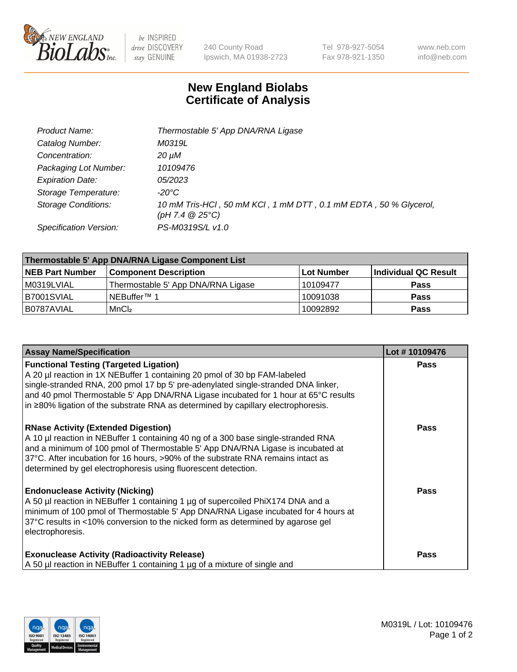

 $be$  INSPIRED drive DISCOVERY stay GENUINE

240 County Road Ipswich, MA 01938-2723 Tel 978-927-5054 Fax 978-921-1350 www.neb.com info@neb.com

## **New England Biolabs Certificate of Analysis**

| Product Name:              | Thermostable 5' App DNA/RNA Ligase                                                    |
|----------------------------|---------------------------------------------------------------------------------------|
| Catalog Number:            | M0319L                                                                                |
| Concentration:             | 20 µM                                                                                 |
| Packaging Lot Number:      | 10109476                                                                              |
| <b>Expiration Date:</b>    | 05/2023                                                                               |
| Storage Temperature:       | $-20^{\circ}$ C                                                                       |
| <b>Storage Conditions:</b> | 10 mM Tris-HCl, 50 mM KCl, 1 mM DTT, 0.1 mM EDTA, 50 % Glycerol,<br>(pH 7.4 $@25°C$ ) |
| Specification Version:     | PS-M0319S/L v1.0                                                                      |

| Thermostable 5' App DNA/RNA Ligase Component List |                                    |             |                      |  |  |
|---------------------------------------------------|------------------------------------|-------------|----------------------|--|--|
| <b>NEB Part Number</b>                            | <b>Component Description</b>       | ∣Lot Number | Individual QC Result |  |  |
| M0319LVIAL                                        | Thermostable 5' App DNA/RNA Ligase | 10109477    | <b>Pass</b>          |  |  |
| B7001SVIAL                                        | <sup>1</sup> NEBuffer™ 1           | 10091038    | <b>Pass</b>          |  |  |
| B0787AVIAL                                        | MnCl <sub>2</sub>                  | 10092892    | <b>Pass</b>          |  |  |

| <b>Assay Name/Specification</b>                                                                                                                                                                                                                                                                                                                                                                 | Lot #10109476 |
|-------------------------------------------------------------------------------------------------------------------------------------------------------------------------------------------------------------------------------------------------------------------------------------------------------------------------------------------------------------------------------------------------|---------------|
| <b>Functional Testing (Targeted Ligation)</b><br>A 20 µl reaction in 1X NEBuffer 1 containing 20 pmol of 30 bp FAM-labeled<br>single-stranded RNA, 200 pmol 17 bp 5' pre-adenylated single-stranded DNA linker,<br>and 40 pmol Thermostable 5' App DNA/RNA Ligase incubated for 1 hour at 65°C results<br>$\ln 280\%$ ligation of the substrate RNA as determined by capillary electrophoresis. | <b>Pass</b>   |
| <b>RNase Activity (Extended Digestion)</b><br>A 10 µl reaction in NEBuffer 1 containing 40 ng of a 300 base single-stranded RNA<br>and a minimum of 100 pmol of Thermostable 5' App DNA/RNA Ligase is incubated at<br>37°C. After incubation for 16 hours, >90% of the substrate RNA remains intact as<br>determined by gel electrophoresis using fluorescent detection.                        | <b>Pass</b>   |
| <b>Endonuclease Activity (Nicking)</b><br>A 50 µl reaction in NEBuffer 1 containing 1 µg of supercoiled PhiX174 DNA and a<br>minimum of 100 pmol of Thermostable 5' App DNA/RNA Ligase incubated for 4 hours at<br>37°C results in <10% conversion to the nicked form as determined by agarose gel<br>electrophoresis.                                                                          | Pass          |
| <b>Exonuclease Activity (Radioactivity Release)</b><br>A 50 µl reaction in NEBuffer 1 containing 1 µg of a mixture of single and                                                                                                                                                                                                                                                                | <b>Pass</b>   |